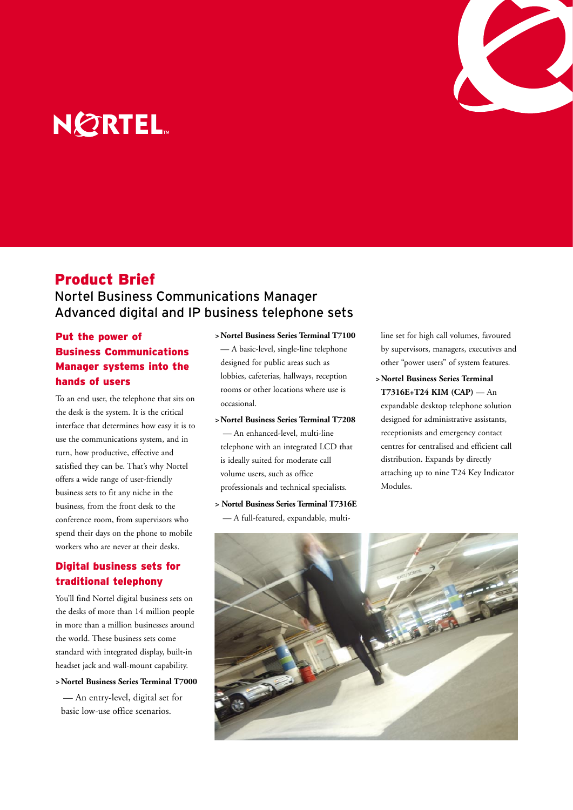

# **NORTEL**

# Product Brief

## Nortel Business Communications Manager Advanced digital and IP business telephone sets

## Put the power of Business Communications Manager systems into the hands of users

To an end user, the telephone that sits on the desk is the system. It is the critical interface that determines how easy it is to use the communications system, and in turn, how productive, effective and satisfied they can be. That's why Nortel offers a wide range of user-friendly business sets to fit any niche in the business, from the front desk to the conference room, from supervisors who spend their days on the phone to mobile workers who are never at their desks.

## Digital business sets for traditional telephony

You'll find Nortel digital business sets on the desks of more than 14 million people in more than a million businesses around the world. These business sets come standard with integrated display, built-in headset jack and wall-mount capability.

### **> Nortel Business Series Terminal T7000**

— An entry-level, digital set for basic low-use office scenarios.

# **> Nortel Business Series Terminal T7100** — A basic-level, single-line telephone

designed for public areas such as lobbies, cafeterias, hallways, reception rooms or other locations where use is occasional.

- **> Nortel Business Series Terminal T7208** — An enhanced-level, multi-line telephone with an integrated LCD that is ideally suited for moderate call volume users, such as office professionals and technical specialists.
- **> Nortel Business Series Terminal T7316E** — A full-featured, expandable, multi-

line set for high call volumes, favoured by supervisors, managers, executives and other "power users" of system features.

**> Nortel Business Series Terminal T7316E+T24 KIM (CAP)** — An expandable desktop telephone solution designed for administrative assistants, receptionists and emergency contact centres for centralised and efficient call distribution. Expands by directly attaching up to nine T24 Key Indicator Modules.

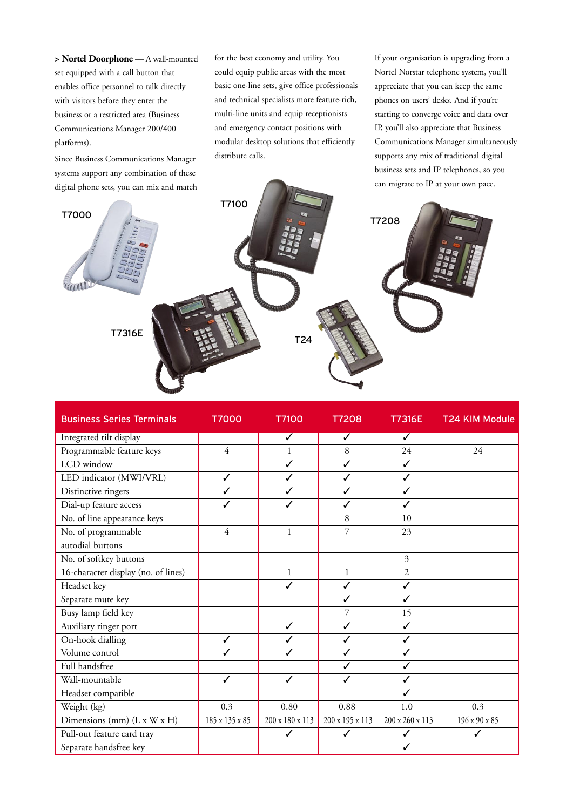**> Nortel Doorphone** — A wall-mounted set equipped with a call button that enables office personnel to talk directly with visitors before they enter the business or a restricted area (Business Communications Manager 200/400 platforms).

Since Business Communications Manager systems support any combination of these digital phone sets, you can mix and match for the best economy and utility. You could equip public areas with the most basic one-line sets, give office professionals and technical specialists more feature-rich, multi-line units and equip receptionists and emergency contact positions with modular desktop solutions that efficiently distribute calls.

If your organisation is upgrading from a Nortel Norstar telephone system, you'll appreciate that you can keep the same phones on users' desks. And if you're starting to converge voice and data over IP, you'll also appreciate that Business Communications Manager simultaneously supports any mix of traditional digital business sets and IP telephones, so you can migrate to IP at your own pace.



| <b>Business Series Terminals</b>    | <b>T7000</b>   | <b>T7100</b>    | <b>T7208</b>    | <b>T7316E</b>   | <b>T24 KIM Module</b> |
|-------------------------------------|----------------|-----------------|-----------------|-----------------|-----------------------|
| Integrated tilt display             |                | $\checkmark$    | ✓               | ✓               |                       |
| Programmable feature keys           | $\overline{4}$ | $\mathbf{1}$    | 8               | 24              | 24                    |
| LCD window                          |                | ✓               | $\checkmark$    | $\checkmark$    |                       |
| LED indicator (MWI/VRL)             | ✓              | ✓               | ✓               | ✓               |                       |
| Distinctive ringers                 | ✓              | ✓               | ✓               | ✓               |                       |
| Dial-up feature access              | ✓              | ✓               | ✓               | ✓               |                       |
| No. of line appearance keys         |                |                 | 8               | 10              |                       |
| No. of programmable                 | 4              | $\mathbf{1}$    | 7               | 23              |                       |
| autodial buttons                    |                |                 |                 |                 |                       |
| No. of softkey buttons              |                |                 |                 | $\mathfrak{Z}$  |                       |
| 16-character display (no. of lines) |                | $\mathbf{1}$    | $\mathbf{1}$    | $\overline{2}$  |                       |
| Headset key                         |                | ✓               | $\checkmark$    | $\checkmark$    |                       |
| Separate mute key                   |                |                 | ✓               | ✓               |                       |
| Busy lamp field key                 |                |                 | 7               | 15              |                       |
| Auxiliary ringer port               |                | $\checkmark$    | ✓               | $\checkmark$    |                       |
| On-hook dialling                    | ✓              | ✓               | ✓               | $\checkmark$    |                       |
| Volume control                      | ✓              | ✓               | $\checkmark$    | $\checkmark$    |                       |
| Full handsfree                      |                |                 | ✓               | $\checkmark$    |                       |
| Wall-mountable                      | ✓              | ✓               | ✓               | ✓               |                       |
| Headset compatible                  |                |                 |                 | ✓               |                       |
| Weight (kg)                         | 0.3            | 0.80            | 0.88            | 1.0             | 0.3                   |
| Dimensions (mm) (L x W x H)         | 185 x 135 x 85 | 200 x 180 x 113 | 200 x 195 x 113 | 200 x 260 x 113 | 196 x 90 x 85         |
| Pull-out feature card tray          |                | ✓               | ✓               | ✓               | ✓                     |
| Separate handsfree key              |                |                 |                 | ✓               |                       |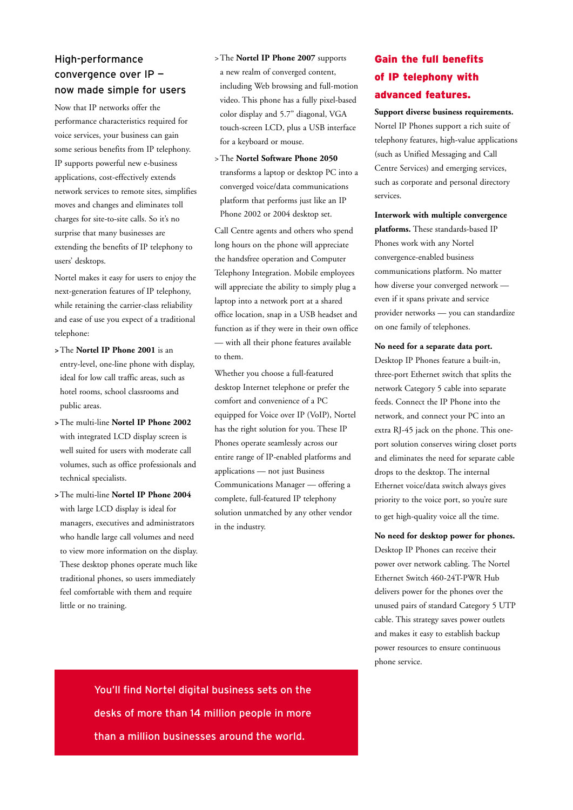## High-performance convergence over IP now made simple for users

Now that IP networks offer the performance characteristics required for voice services, your business can gain some serious benefits from IP telephony. IP supports powerful new e-business applications, cost-effectively extends network services to remote sites, simplifies moves and changes and eliminates toll charges for site-to-site calls. So it's no surprise that many businesses are extending the benefits of IP telephony to users' desktops.

Nortel makes it easy for users to enjoy the next-generation features of IP telephony, while retaining the carrier-class reliability and ease of use you expect of a traditional telephone:

- **>** The **Nortel IP Phone 2001** is an entry-level, one-line phone with display, ideal for low call traffic areas, such as hotel rooms, school classrooms and public areas.
- **>** The multi-line **Nortel IP Phone 2002** with integrated LCD display screen is well suited for users with moderate call volumes, such as office professionals and technical specialists.
- **>** The multi-line **Nortel IP Phone 2004** with large LCD display is ideal for managers, executives and administrators who handle large call volumes and need to view more information on the display. These desktop phones operate much like traditional phones, so users immediately feel comfortable with them and require little or no training.
- >The **Nortel IP Phone 2007** supports a new realm of converged content, including Web browsing and full-motion video. This phone has a fully pixel-based color display and 5.7" diagonal, VGA touch-screen LCD, plus a USB interface for a keyboard or mouse.
- >The **Nortel Software Phone 2050** transforms a laptop or desktop PC into a converged voice/data communications platform that performs just like an IP Phone 2002 or 2004 desktop set.

Call Centre agents and others who spend long hours on the phone will appreciate the handsfree operation and Computer Telephony Integration. Mobile employees will appreciate the ability to simply plug a laptop into a network port at a shared office location, snap in a USB headset and function as if they were in their own office — with all their phone features available to them.

Whether you choose a full-featured desktop Internet telephone or prefer the comfort and convenience of a PC equipped for Voice over IP (VoIP), Nortel has the right solution for you. These IP Phones operate seamlessly across our entire range of IP-enabled platforms and applications — not just Business Communications Manager — offering a complete, full-featured IP telephony solution unmatched by any other vendor in the industry.

# Gain the full benefits of IP telephony with advanced features.

#### **Support diverse business requirements.**

Nortel IP Phones support a rich suite of telephony features, high-value applications (such as Unified Messaging and Call Centre Services) and emerging services, such as corporate and personal directory services.

**Interwork with multiple convergence platforms.** These standards-based IP Phones work with any Nortel convergence-enabled business communications platform. No matter how diverse your converged network even if it spans private and service provider networks — you can standardize on one family of telephones.

#### **No need for a separate data port.**

Desktop IP Phones feature a built-in, three-port Ethernet switch that splits the network Category 5 cable into separate feeds. Connect the IP Phone into the network, and connect your PC into an extra RJ-45 jack on the phone. This oneport solution conserves wiring closet ports and eliminates the need for separate cable drops to the desktop. The internal Ethernet voice/data switch always gives priority to the voice port, so you're sure to get high-quality voice all the time.

**No need for desktop power for phones.** Desktop IP Phones can receive their power over network cabling. The Nortel Ethernet Switch 460-24T-PWR Hub delivers power for the phones over the unused pairs of standard Category 5 UTP cable. This strategy saves power outlets and makes it easy to establish backup power resources to ensure continuous phone service.

You'll find Nortel digital business sets on the desks of more than 14 million people in more than a million businesses around the world.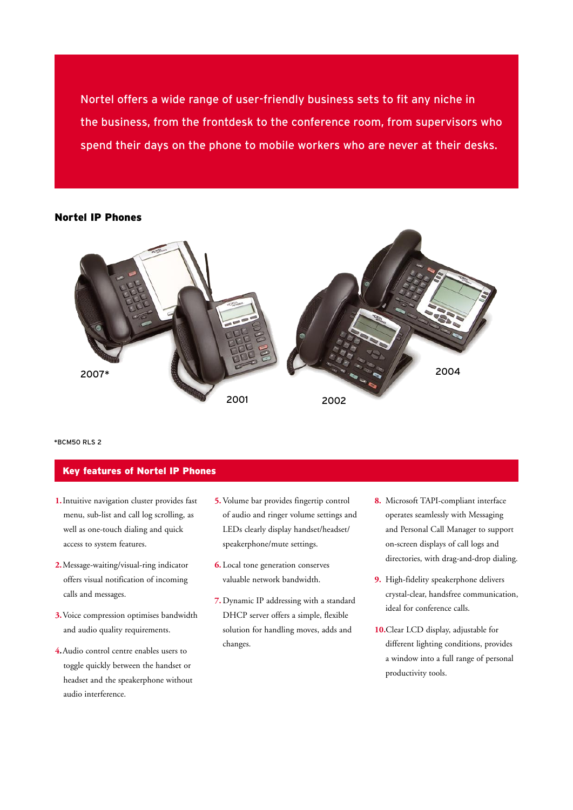Nortel offers a wide range of user-friendly business sets to fit any niche in the business, from the frontdesk to the conference room, from supervisors who spend their days on the phone to mobile workers who are never at their desks.

### Nortel IP Phones



\*BCM50 RLS 2

## Key features of Nortel IP Phones

- **1.**Intuitive navigation cluster provides fast menu, sub-list and call log scrolling, as well as one-touch dialing and quick access to system features.
- **2.** Message-waiting/visual-ring indicator offers visual notification of incoming calls and messages.
- **3.**Voice compression optimises bandwidth and audio quality requirements.
- **4.**Audio control centre enables users to toggle quickly between the handset or headset and the speakerphone without audio interference.
- **5.**Volume bar provides fingertip control of audio and ringer volume settings and LEDs clearly display handset/headset/ speakerphone/mute settings.
- **6.** Local tone generation conserves valuable network bandwidth.
- **7.** Dynamic IP addressing with a standard DHCP server offers a simple, flexible solution for handling moves, adds and changes.
- **8.** Microsoft TAPI-compliant interface operates seamlessly with Messaging and Personal Call Manager to support on-screen displays of call logs and directories, with drag-and-drop dialing.
- **9.** High-fidelity speakerphone delivers crystal-clear, handsfree communication, ideal for conference calls.
- **10.**Clear LCD display, adjustable for different lighting conditions, provides a window into a full range of personal productivity tools.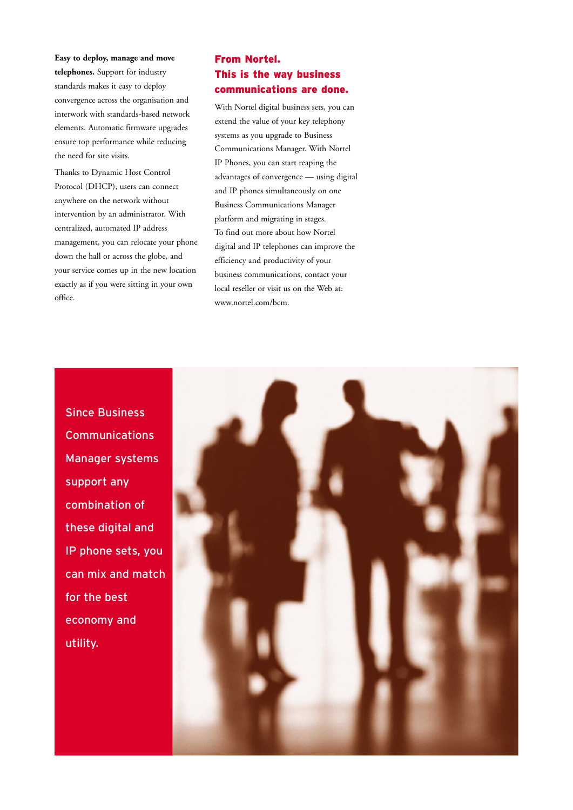**Easy to deploy, manage and move telephones.** Support for industry standards makes it easy to deploy convergence across the organisation and interwork with standards-based network elements. Automatic firmware upgrades ensure top performance while reducing the need for site visits.

Thanks to Dynamic Host Control Protocol (DHCP), users can connect anywhere on the network without intervention by an administrator. With centralized, automated IP address management, you can relocate your phone down the hall or across the globe, and your service comes up in the new location exactly as if you were sitting in your own office.

## From Nortel. This is the way business communications are done.

With Nortel digital business sets, you can extend the value of your key telephony systems as you upgrade to Business Communications Manager. With Nortel IP Phones, you can start reaping the advantages of convergence — using digital and IP phones simultaneously on one Business Communications Manager platform and migrating in stages. To find out more about how Nortel digital and IP telephones can improve the efficiency and productivity of your business communications, contact your local reseller or visit us on the Web at: www.nortel.com/bcm.

Since Business Communications Manager systems support any combination of these digital and IP phone sets, you can mix and match for the best economy and utility.